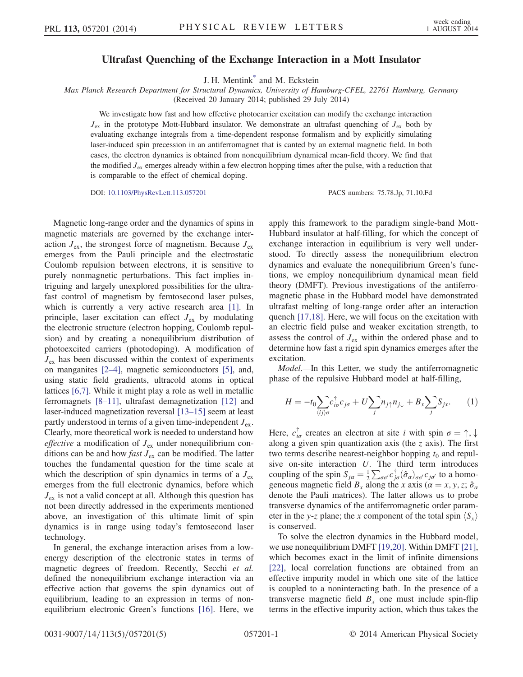## Ultrafast Quenching of the Exchange Interaction in a Mott Insulator

J. H. Mentin[k\\*](#page-4-0) and M. Eckstein

<span id="page-0-0"></span>Max Planck Research Department for Structural Dynamics, University of Hamburg-CFEL, 22761 Hamburg, Germany

(Received 20 January 2014; published 29 July 2014)

We investigate how fast and how effective photocarrier excitation can modify the exchange interaction  $J_{\rm ex}$  in the prototype Mott-Hubbard insulator. We demonstrate an ultrafast quenching of  $J_{\rm ex}$  both by evaluating exchange integrals from a time-dependent response formalism and by explicitly simulating laser-induced spin precession in an antiferromagnet that is canted by an external magnetic field. In both cases, the electron dynamics is obtained from nonequilibrium dynamical mean-field theory. We find that the modified  $J_{ex}$  emerges already within a few electron hopping times after the pulse, with a reduction that is comparable to the effect of chemical doping.

DOI: [10.1103/PhysRevLett.113.057201](http://dx.doi.org/10.1103/PhysRevLett.113.057201) PACS numbers: 75.78.Jp, 71.10.Fd

Magnetic long-range order and the dynamics of spins in magnetic materials are governed by the exchange interaction  $J_{ex}$ , the strongest force of magnetism. Because  $J_{ex}$ emerges from the Pauli principle and the electrostatic Coulomb repulsion between electrons, it is sensitive to purely nonmagnetic perturbations. This fact implies intriguing and largely unexplored possibilities for the ultrafast control of magnetism by femtosecond laser pulses, which is currently a very active research area [\[1\].](#page-4-1) In principle, laser excitation can effect  $J_{ex}$  by modulating the electronic structure (electron hopping, Coulomb repulsion) and by creating a nonequilibrium distribution of photoexcited carriers (photodoping). A modification of  $J_{\text{ex}}$  has been discussed within the context of experiments on manganites [2–[4\]](#page-4-2), magnetic semiconductors [\[5\]](#page-4-3), and, using static field gradients, ultracold atoms in optical lattices [\[6,7\].](#page-4-4) While it might play a role as well in metallic ferromagnets [8–[11\]](#page-4-5), ultrafast demagnetization [\[12\]](#page-4-6) and laser-induced magnetization reversal [13–[15\]](#page-4-7) seem at least partly understood in terms of a given time-independent  $J_{ex}$ . Clearly, more theoretical work is needed to understand how *effective* a modification of  $J_{ex}$  under nonequilibrium conditions can be and how *fast*  $J_{ex}$  can be modified. The latter touches the fundamental question for the time scale at which the description of spin dynamics in terms of a  $J_{ex}$ emerges from the full electronic dynamics, before which  $J_{ex}$  is not a valid concept at all. Although this question has not been directly addressed in the experiments mentioned above, an investigation of this ultimate limit of spin dynamics is in range using today's femtosecond laser technology.

In general, the exchange interaction arises from a lowenergy description of the electronic states in terms of magnetic degrees of freedom. Recently, Secchi et al. defined the nonequilibrium exchange interaction via an effective action that governs the spin dynamics out of equilibrium, leading to an expression in terms of nonequilibrium electronic Green's functions [\[16\]](#page-4-8). Here, we apply this framework to the paradigm single-band Mott-Hubbard insulator at half-filling, for which the concept of exchange interaction in equilibrium is very well understood. To directly assess the nonequilibrium electron dynamics and evaluate the nonequilibrium Green's functions, we employ nonequilibrium dynamical mean field theory (DMFT). Previous investigations of the antiferromagnetic phase in the Hubbard model have demonstrated ultrafast melting of long-range order after an interaction quench [\[17,18\]](#page-4-9). Here, we will focus on the excitation with an electric field pulse and weaker excitation strength, to assess the control of  $J_{ex}$  within the ordered phase and to determine how fast a rigid spin dynamics emerges after the excitation.

Model.—In this Letter, we study the antiferromagnetic phase of the repulsive Hubbard model at half-filling,

$$
H = -t_0 \sum_{\langle ij \rangle \sigma} c_{i\sigma}^{\dagger} c_{j\sigma} + U \sum_j n_{j\uparrow} n_{j\downarrow} + B_x \sum_j S_{jx}.
$$
 (1)

Here,  $c_{i\sigma}^{\dagger}$  creates an electron at site i with spin  $\sigma = \uparrow, \downarrow$ along a given spin quantization axis (the  $\zeta$  axis). The first two terms describe nearest-neighbor hopping  $t_0$  and repulsive on-site interaction  $U$ . The third term introduces coupling of the spin  $S_{j\alpha} = \frac{1}{2} \sum_{\sigma\sigma'} c_{j\sigma}^{\dagger} (\hat{\sigma}_{\alpha})_{\sigma\sigma'} c_{j\sigma'}$  to a homogeneous magnetic field  $B_x$  along the x axis ( $\alpha = x, y, z; \hat{\sigma}_\alpha$ denote the Pauli matrices). The latter allows us to probe transverse dynamics of the antiferromagnetic order parameter in the y-z plane; the x component of the total spin  $\langle S_x \rangle$ is conserved.

To solve the electron dynamics in the Hubbard model, we use nonequilibrium DMFT [\[19,20\]](#page-4-10). Within DMFT [\[21\]](#page-4-11), which becomes exact in the limit of infinite dimensions [\[22\]](#page-4-12), local correlation functions are obtained from an effective impurity model in which one site of the lattice is coupled to a noninteracting bath. In the presence of a transverse magnetic field  $B_x$  one must include spin-flip terms in the effective impurity action, which thus takes the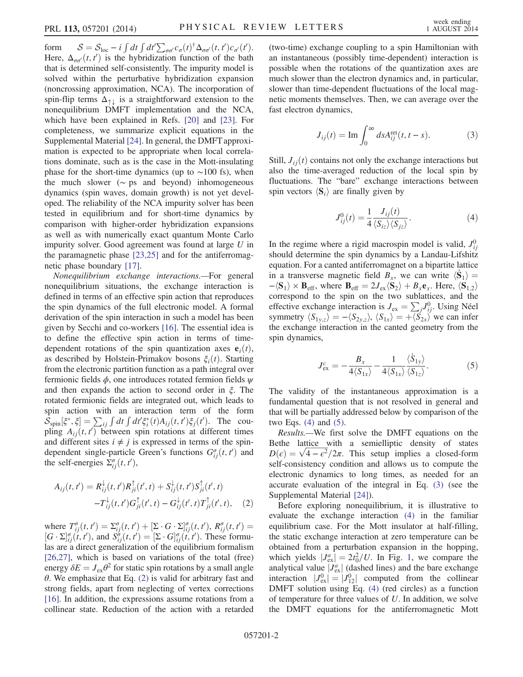form  $S = S_{\text{loc}} - i \int dt \int dt' \sum_{\sigma \sigma'} c_{\sigma}(t)^{\dagger} \Delta_{\sigma \sigma'}(t, t') c_{\sigma'}(t').$ Here,  $\Delta_{\sigma\sigma'}(t, t')$  is the hybridization function of the bath that is determined self-consistently. The impurity model is solved within the perturbative hybridization expansion (noncrossing approximation, NCA). The incorporation of spin-flip terms  $\Delta_{\uparrow\downarrow}$  is a straightforward extension to the nonequilibrium DMFT implementation and the NCA, which have been explained in Refs. [\[20\]](#page-4-13) and [\[23\]](#page-4-14). For completeness, we summarize explicit equations in the Supplemental Material [\[24\].](#page-4-15) In general, the DMFT approximation is expected to be appropriate when local correlations dominate, such as is the case in the Mott-insulating phase for the short-time dynamics (up to  $\sim$ 100 fs), when the much slower ( $~\sim$  ps and beyond) inhomogeneous dynamics (spin waves, domain growth) is not yet developed. The reliability of the NCA impurity solver has been tested in equilibrium and for short-time dynamics by comparison with higher-order hybridization expansions as well as with numerically exact quantum Monte Carlo impurity solver. Good agreement was found at large  $U$  in the paramagnetic phase [\[23,25\]](#page-4-14) and for the antiferromagnetic phase boundary [\[17\]](#page-4-9).

Nonequilibrium exchange interactions.—For general nonequilibrium situations, the exchange interaction is defined in terms of an effective spin action that reproduces the spin dynamics of the full electronic model. A formal derivation of the spin interaction in such a model has been given by Secchi and co-workers [\[16\].](#page-4-8) The essential idea is to define the effective spin action in terms of timedependent rotations of the spin quantization axes  $e_i(t)$ , as described by Holstein-Primakov bosons  $\xi_i(t)$ . Starting from the electronic partition function as a path integral over fermionic fields  $\phi$ , one introduces rotated fermion fields  $\psi$ and then expands the action to second order in ξ. The rotated fermionic fields are integrated out, which leads to spin action with an interaction term of the form  $\hat{\mathcal{S}}_{\text{spin}}[\xi^*, \xi] = \sum_{ij} \int dt \int dt' \xi_i^*(t) A_{ij}(t, t') \xi_j(t')$ . The coupling  $A_{ij}(t, t')$  between spin rotations at different times and different sites  $i \neq j$  is expressed in terms of the spindependent single-particle Green's functions  $G_{ij}^{\sigma}(t, t')$  and the self-energies  $\Sigma_{ij}^{\sigma}(t, t'),$ 

<span id="page-1-0"></span>
$$
A_{ij}(t, t') = R_{ij}^{\downarrow}(t, t')R_{ji}^{\uparrow}(t', t) + S_{ij}^{\downarrow}(t, t')S_{ji}^{\uparrow}(t', t) -T_{ij}^{\downarrow}(t, t')G_{ji}^{\uparrow}(t', t) - G_{ij}^{\downarrow}(t', t)T_{ji}^{\uparrow}(t', t),
$$
 (2)

where  $T^{\sigma}_{ij}(t, t') = \sum_{ij}^{\sigma}(t, t') + [\Sigma \cdot G \cdot \Sigma]_{ij}^{\sigma}(t, t'), R_{ij}^{\sigma}(t, t') = [G \cdot \Sigma]_{ij}^{\sigma}(t, t'),$  and  $S_{ij}^{\sigma}(t, t') = [\Sigma \cdot G]_{ij}^{\sigma}(t, t')$ . These formulas are a direct generalization of the equilibrium formalism [\[26,27\]](#page-4-16), which is based on variations of the total (free) energy  $\delta E = J_{\text{ex}} \theta^2$  for static spin rotations by a small angle  $\theta$ . We emphasize that Eq. [\(2\)](#page-1-0) is valid for arbitrary fast and strong fields, apart from neglecting of vertex corrections [\[16\]](#page-4-8). In addition, the expressions assume rotations from a collinear state. Reduction of the action with a retarded (two-time) exchange coupling to a spin Hamiltonian with an instantaneous (possibly time-dependent) interaction is possible when the rotations of the quantization axes are much slower than the electron dynamics and, in particular, slower than time-dependent fluctuations of the local magnetic moments themselves. Then, we can average over the fast electron dynamics,

<span id="page-1-3"></span>
$$
J_{ij}(t) = \text{Im} \int_0^\infty ds A_{ij}^{\text{ret}}(t, t - s). \tag{3}
$$

<span id="page-1-1"></span>Still,  $J_{ii}(t)$  contains not only the exchange interactions but also the time-averaged reduction of the local spin by fluctuations. The "bare" exchange interactions between spin vectors  $\langle S_i \rangle$  are finally given by

$$
J_{ij}^0(t) = \frac{1}{4} \frac{J_{ij}(t)}{\langle S_{iz} \rangle \langle S_{jz} \rangle}.
$$
 (4)

In the regime where a rigid macrospin model is valid,  $J_{ii}^0$ should determine the spin dynamics by a Landau-Lifshitz equation. For a canted antiferromagnet on a bipartite lattice in a transverse magnetic field  $B_x$ , we can write  $\langle \dot{S}_1 \rangle =$  $-\langle \mathbf{S}_1 \rangle \times \mathbf{B}_{\text{eff}}$ , where  $\mathbf{B}_{\text{eff}} = 2J_{\text{ex}} \langle \mathbf{S}_2 \rangle + B_x \mathbf{e}_x$ . Here,  $\langle \mathbf{S}_{1,2} \rangle$ correspond to the spin on the two sublattices, and the effective exchange interaction is  $J_{\text{ex}} = \sum_j J_{ij}^0$ . Using Néel symmetry  $\langle S_{1y,z}\rangle = -\langle S_{2y,z}\rangle$ ,  $\langle S_{1x}\rangle = +\langle S_{2x}\rangle$  we can infer the exchange interaction in the canted geometry from the spin dynamics,

<span id="page-1-2"></span>
$$
J_{\text{ex}}^c = -\frac{B_x}{4\langle S_{1x}\rangle} - \frac{1}{4\langle S_{1x}\rangle} \frac{\langle \dot{S}_{1y}\rangle}{\langle S_{1z}\rangle}.
$$
 (5)

The validity of the instantaneous approximation is a fundamental question that is not resolved in general and that will be partially addressed below by comparison of the two Eqs. [\(4\)](#page-1-1) and [\(5\).](#page-1-2)

Results.—We first solve the DMFT equations on the Bethe lattice with a semielliptic density of states  $D(\epsilon) = \sqrt{4 - \epsilon^2}/2\pi$ . This setup implies a closed-form self-consistency condition and allows us to compute the electronic dynamics to long times, as needed for an accurate evaluation of the integral in Eq. [\(3\)](#page-1-3) (see the Supplemental Material [\[24\]\)](#page-4-15).

Before exploring nonequilibrium, it is illustrative to evaluate the exchange interaction [\(4\)](#page-1-1) in the familiar equilibrium case. For the Mott insulator at half-filling, the static exchange interaction at zero temperature can be obtained from a perturbation expansion in the hopping, which yields  $|J_{\text{ex}}^a| = 2t_0^2/U$ . In Fig. [1,](#page-2-0) we compare the analytical value  $J_{\text{ex}}^{a}$  (dashed lines) and the bare exchange interaction  $|J_{\text{ex}}^{0}| = |J_{12}^{0}|$  computed from the collinear DMFT solution using Eq. [\(4\)](#page-1-1) (red circles) as a function of temperature for three values of U. In addition, we solve the DMFT equations for the antiferromagnetic Mott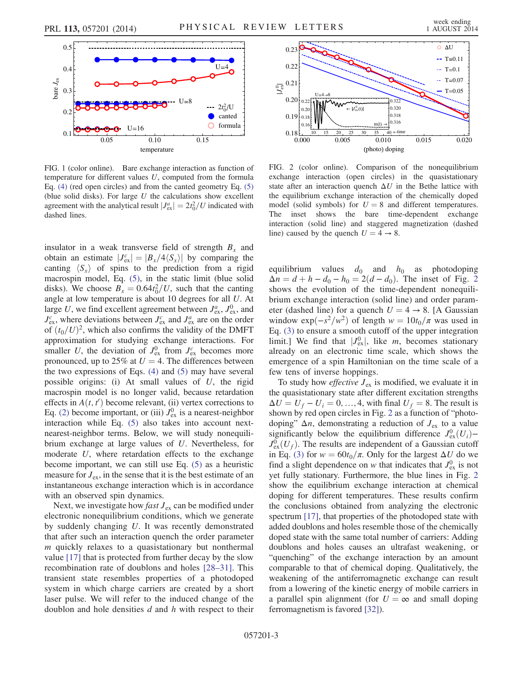<span id="page-2-0"></span>

FIG. 1 (color online). Bare exchange interaction as function of temperature for different values  $U$ , computed from the formula Eq. [\(4\)](#page-1-1) (red open circles) and from the canted geometry Eq. [\(5\)](#page-1-2) (blue solid disks). For large  $U$  the calculations show excellent agreement with the analytical result  $|J_{\text{ex}}^a| = 2t_0^2/U$  indicated with dashed lines.

insulator in a weak transverse field of strength  $B_x$  and obtain an estimate  $|J_{\text{ex}}^c| = |B_x/4\langle S_x \rangle|$  by comparing the canting  $\langle S_x \rangle$  of spins to the prediction from a rigid macrospin model, Eq. [\(5\),](#page-1-2) in the static limit (blue solid disks). We choose  $B_x = 0.64t_0^2/U$ , such that the canting angle at low temperature is about 10 degrees for all U. At large U, we find excellent agreement between  $J_{\text{ex}}^a$ ,  $J_{\text{ex}}^0$ , and  $J_{\text{ex}}^c$ , where deviations between  $J_{\text{ex}}^c$  and  $J_{\text{ex}}^a$  are on the order of  $(t_0/U)^2$ , which also confirms the validity of the DMFT approximation for studying exchange interactions. For smaller U, the deviation of  $J_{\text{ex}}^0$  from  $J_{\text{ex}}^c$  becomes more pronounced, up to 25% at  $U = 4$ . The differences between the two expressions of Eqs.  $(4)$  and  $(5)$  may have several possible origins: (i) At small values of  $U$ , the rigid macrospin model is no longer valid, because retardation effects in  $A(t, t')$  become relevant, (ii) vertex corrections to Eq. [\(2\)](#page-1-0) become important, or (iii)  $J_{\text{ex}}^0$  is a nearest-neighbor interaction while Eq. [\(5\)](#page-1-2) also takes into account nextnearest-neighbor terms. Below, we will study nonequilibrium exchange at large values of U. Nevertheless, for moderate U, where retardation effects to the exchange become important, we can still use Eq. [\(5\)](#page-1-2) as a heuristic measure for  $J_{ex}$ , in the sense that it is the best estimate of an instantaneous exchange interaction which is in accordance with an observed spin dynamics.

Next, we investigate how *fast*  $J_{ex}$  can be modified under electronic nonequilibrium conditions, which we generate by suddenly changing U. It was recently demonstrated that after such an interaction quench the order parameter  $m$  quickly relaxes to a quasistationary but nonthermal value [\[17\]](#page-4-9) that is protected from further decay by the slow recombination rate of doublons and holes [28–[31\].](#page-4-17) This transient state resembles properties of a photodoped system in which charge carriers are created by a short laser pulse. We will refer to the induced change of the doublon and hole densities  $d$  and  $h$  with respect to their

<span id="page-2-1"></span>

FIG. 2 (color online). Comparison of the nonequilibrium exchange interaction (open circles) in the quasistationary state after an interaction quench  $\Delta U$  in the Bethe lattice with the equilibrium exchange interaction of the chemically doped model (solid symbols) for  $U = 8$  and different temperatures.<br>The inset shows the bare time-dependent exchange inset shows the bare time-dependent exchange interaction (solid line) and staggered magnetization (dashed line) caused by the quench  $U = 4 \rightarrow 8$ .

equilibrium values  $d_0$  and  $h_0$  as photodoping  $\Delta n = d + h - d_0 - h_0 = 2(d - d_0)$  $\Delta n = d + h - d_0 - h_0 = 2(d - d_0)$  $\Delta n = d + h - d_0 - h_0 = 2(d - d_0)$ . The inset of Fig. 2 shows the evolution of the time-dependent nonequilibrium exchange interaction (solid line) and order parameter (dashed line) for a quench  $U = 4 \rightarrow 8$ . [A Gaussian window  $\exp(-s^2/w^2)$  of length  $w = 10t_0/\pi$  was used in Eq. [\(3\)](#page-1-3) to ensure a smooth cutoff of the upper integration limit.] We find that  $|J_{\text{ex}}^{0}|$ , like m, becomes stationary already on an electronic time scale, which shows the emergence of a spin Hamiltonian on the time scale of a few tens of inverse hoppings.

To study how *effective*  $J_{ex}$  is modified, we evaluate it in the quasistationary state after different excitation strengths  $\Delta U = U_f - U_i = 0, ..., 4$ , with final  $U_f = 8$ . The result is shown by red open circles in Fig. [2](#page-2-1) as a function of "photodoping"  $\Delta n$ , demonstrating a reduction of  $J_{ex}$  to a value significantly below the equilibrium difference  $J_{\text{ex}}^{0}(U_i)$  $J_{\text{ex}}^0(U_f)$ . The results are independent of a Gaussian cutoff in Eq. [\(3\)](#page-1-3) for  $w = 60t_0/\pi$ . Only for the largest  $\Delta U$  do we find a slight dependence on w that indicates that  $J_{\text{ex}}^0$  is not yet fully stationary. Furthermore, the blue lines in Fig. [2](#page-2-1) show the equilibrium exchange interaction at chemical doping for different temperatures. These results confirm the conclusions obtained from analyzing the electronic spectrum [\[17\]](#page-4-9), that properties of the photodoped state with added doublons and holes resemble those of the chemically doped state with the same total number of carriers: Adding doublons and holes causes an ultrafast weakening, or "quenching" of the exchange interaction by an amount comparable to that of chemical doping. Qualitatively, the weakening of the antiferromagnetic exchange can result from a lowering of the kinetic energy of mobile carriers in a parallel spin alignment (for  $U = \infty$  and small doping ferromagnetism is favored [\[32\]\)](#page-4-18).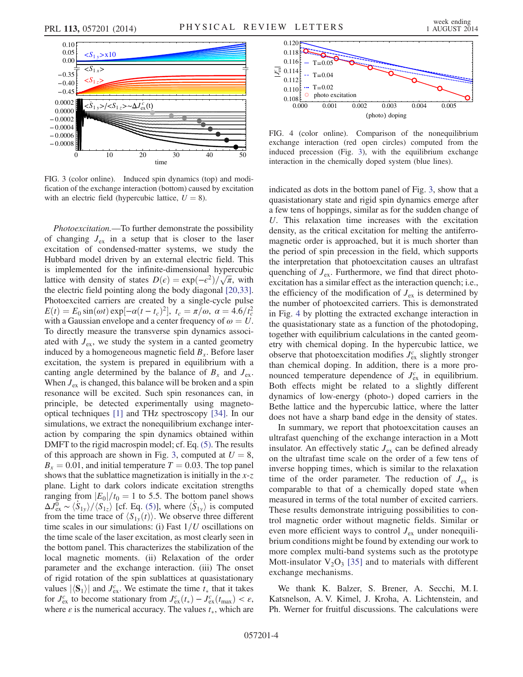<span id="page-3-0"></span>

FIG. 3 (color online). Induced spin dynamics (top) and modification of the exchange interaction (bottom) caused by excitation with an electric field (hypercubic lattice,  $U = 8$ ).

Photoexcitation.—To further demonstrate the possibility of changing  $J_{ex}$  in a setup that is closer to the laser excitation of condensed-matter systems, we study the Hubbard model driven by an external electric field. This is implemented for the infinite-dimensional hypercubic lattice with density of states  $D(\epsilon) = \exp(-\epsilon^2)/\sqrt{\pi}$ , with the electric field pointing along the body diagonal [\[20,33\]](#page-4-13). Photoexcited carriers are created by a single-cycle pulse  $E(t) = E_0 \sin(\omega t) \exp[-\alpha (t - t_c)^2], t_c = \pi/\omega, \alpha = 4.6/t_c^2$ with a Gaussian envelope and a center frequency of  $\omega = U$ . To directly measure the transverse spin dynamics associated with  $J_{ex}$ , we study the system in a canted geometry induced by a homogeneous magnetic field  $B_x$ . Before laser excitation, the system is prepared in equilibrium with a canting angle determined by the balance of  $B_x$  and  $J_{ex}$ . When  $J_{ex}$  is changed, this balance will be broken and a spin resonance will be excited. Such spin resonances can, in principle, be detected experimentally using magnetooptical techniques [\[1\]](#page-4-1) and THz spectroscopy [\[34\]](#page-4-19). In our simulations, we extract the nonequilibrium exchange interaction by comparing the spin dynamics obtained within DMFT to the rigid macrospin model; cf. Eq. [\(5\)](#page-1-2). The results of this approach are shown in Fig. [3](#page-3-0), computed at  $U = 8$ ,  $B_x = 0.01$ , and initial temperature  $T = 0.03$ . The top panel shows that the sublattice magnetization is initially in the  $x-z$ plane. Light to dark colors indicate excitation strengths ranging from  $|E_0|/t_0=1$  to 5.5. The bottom panel shows  $\Delta J_{\text{ex}}^{\overline{0}} \sim \langle \dot{S}_{1y} \rangle / \langle \dot{S}_{1z} \rangle$  [cf. Eq. [\(5\)](#page-1-2)], where  $\langle \dot{S}_{1y} \rangle$  is computed from the time trace of  $\langle S_{1y}(t) \rangle$ . We observe three different time scales in our simulations: (i) Fast  $1/U$  oscillations on the time scale of the laser excitation, as most clearly seen in the bottom panel. This characterizes the stabilization of the local magnetic moments. (ii) Relaxation of the order parameter and the exchange interaction. (iii) The onset of rigid rotation of the spin sublattices at quasistationary values  $|\langle S_1 \rangle|$  and  $J_{\text{ex}}^c$ . We estimate the time  $t_*$  that it takes for  $J_{\text{ex}}^c$  to become stationary from  $J_{\text{ex}}^c(t_*) - J_{\text{ex}}^c(t_{\text{max}}) < \varepsilon$ , where  $\varepsilon$  is the numerical accuracy. The values  $t_*$ , which are

<span id="page-3-1"></span>

FIG. 4 (color online). Comparison of the nonequilibrium exchange interaction (red open circles) computed from the induced precession (Fig. [3](#page-3-0)), with the equilibrium exchange interaction in the chemically doped system (blue lines).

indicated as dots in the bottom panel of Fig. [3](#page-3-0), show that a quasistationary state and rigid spin dynamics emerge after a few tens of hoppings, similar as for the sudden change of U. This relaxation time increases with the excitation density, as the critical excitation for melting the antiferromagnetic order is approached, but it is much shorter than the period of spin precession in the field, which supports the interpretation that photoexcitation causes an ultrafast quenching of  $J_{ex}$ . Furthermore, we find that direct photoexcitation has a similar effect as the interaction quench; i.e., the efficiency of the modification of  $J_{ex}$  is determined by the number of photoexcited carriers. This is demonstrated in Fig. [4](#page-3-1) by plotting the extracted exchange interaction in the quasistationary state as a function of the photodoping, together with equilibrium calculations in the canted geometry with chemical doping. In the hypercubic lattice, we observe that photoexcitation modifies  $J_{\text{ex}}^c$  slightly stronger than chemical doping. In addition, there is a more pronounced temperature dependence of  $J_{\text{ex}}^c$  in equilibrium. Both effects might be related to a slightly different dynamics of low-energy (photo-) doped carriers in the Bethe lattice and the hypercubic lattice, where the latter does not have a sharp band edge in the density of states.

In summary, we report that photoexcitation causes an ultrafast quenching of the exchange interaction in a Mott insulator. An effectively static  $J_{ex}$  can be defined already on the ultrafast time scale on the order of a few tens of inverse hopping times, which is similar to the relaxation time of the order parameter. The reduction of  $J_{ex}$  is comparable to that of a chemically doped state when measured in terms of the total number of excited carriers. These results demonstrate intriguing possibilities to control magnetic order without magnetic fields. Similar or even more efficient ways to control  $J_{ex}$  under nonequilibrium conditions might be found by extending our work to more complex multi-band systems such as the prototype Mott-insulator  $V_2O_3$  [\[35\]](#page-4-20) and to materials with different exchange mechanisms.

We thank K. Balzer, S. Brener, A. Secchi, M. I. Katsnelson, A. V. Kimel, J. Kroha, A. Lichtenstein, and Ph. Werner for fruitful discussions. The calculations were